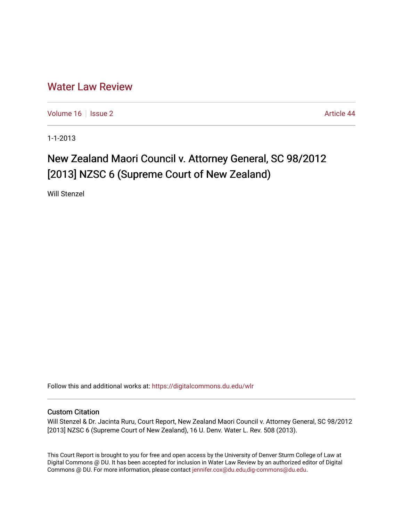## [Water Law Review](https://digitalcommons.du.edu/wlr)

[Volume 16](https://digitalcommons.du.edu/wlr/vol16) | [Issue 2](https://digitalcommons.du.edu/wlr/vol16/iss2) Article 44

1-1-2013

# New Zealand Maori Council v. Attorney General, SC 98/2012 [2013] NZSC 6 (Supreme Court of New Zealand)

Will Stenzel

Follow this and additional works at: [https://digitalcommons.du.edu/wlr](https://digitalcommons.du.edu/wlr?utm_source=digitalcommons.du.edu%2Fwlr%2Fvol16%2Fiss2%2F44&utm_medium=PDF&utm_campaign=PDFCoverPages) 

### Custom Citation

Will Stenzel & Dr. Jacinta Ruru, Court Report, New Zealand Maori Council v. Attorney General, SC 98/2012 [2013] NZSC 6 (Supreme Court of New Zealand), 16 U. Denv. Water L. Rev. 508 (2013).

This Court Report is brought to you for free and open access by the University of Denver Sturm College of Law at Digital Commons @ DU. It has been accepted for inclusion in Water Law Review by an authorized editor of Digital Commons @ DU. For more information, please contact [jennifer.cox@du.edu,dig-commons@du.edu.](mailto:jennifer.cox@du.edu,dig-commons@du.edu)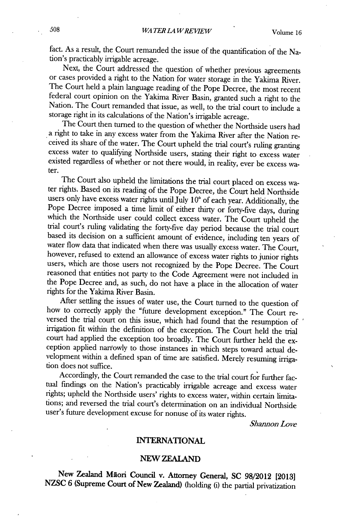fact. As a result, the Court remanded the issue of the quantification of the Nation's practicably irrigable acreage.

Next, the Court addressed the question of whether previous agreements or cases provided a right to the Nation for water storage in the Yakima River. The Court held a plain language reading of the Pope Decree, the most recent federal court opinion on the Yakima River Basin, granted such a right to the Nation. The Court remanded that issue, as well, to the trial court to include a storage right in its calculations of the Nation's irrigable acreage.

The Court then turned to the question of whether the Northside users had a right to take in any excess water from the Yakima River after the Nation received its share of the water. The Court upheld the trial court's ruling granting excess water to qualifying Northside users, stating their right to excess water existed regardless of whether or not there would, in reality, ever be excess water.

The Court also upheld the limitations the trial court placed on excess water rights. Based on its reading of the Pope Decree, the Court held Northside users only have excess water rights until July 10<sup>th</sup> of each year. Additionally, the Pope Decree imposed a time limit of either thirty or forty-five days, during which the Northside user could collect excess water. The Court upheld the trial court's ruling validating the forty-five day period because the trial court based its decision on a sufficient amount of evidence, including ten years of water flow data that indicated when there was usually excess water. The Court, however, refused to extend an allowance of excess water rights to junior rights users, which are those users not recognized **by** the Pope Decree. The Court reasoned that entities not party to the Code Agreement were not included in the Pope Decree and, as such, do not have a place in the allocation of water rights for the Yakima River Basin.

After settling the issues of water use, the Court turned to the question of how to correctly apply the "future development exception." The Court reversed the trial court on this issue, which had found that the resumption of irrigation fit within the definition of the exception. The Court held the trial court had applied the exception too broadly. The Court further held the exception applied narrowly to those instances in which steps toward actual development within a defined span of time are satisfied. Merely resuming irriga- tion does not suffice.

Accordingly, the Court remanded the case to the trial court for further factual findings on the Nation's practicably irrigable acreage and excess water rights; upheld the Northside users' rights to excess water, within certain limitations; and reversed the trial court's determination on an individual Northside user's future development excuse for nonuse of its water rights.

*Shannon Love*

#### **INTERNATIONAL**

#### **NEW ZEALAND**

New **Zealand Maori Council v. Attorney General, SC 98/2012 [20131 NZSC 6 (Supreme Court of New Zealand) (holding** (i) the partial privatization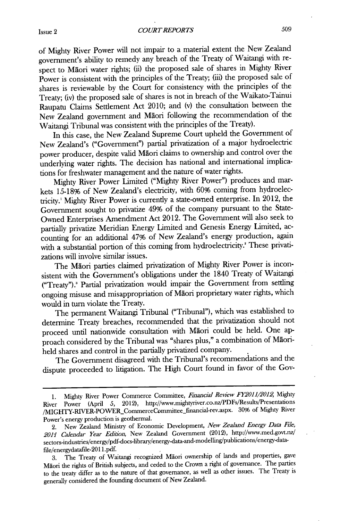of Mighty River Power will not impair to a material extent the New Zealand government's ability to remedy any breach of the Treaty of Waitangi with respect to Maori water rights; (ii) the proposed sale of shares in Mighty River Power is consistent with the principles of the Treaty; (iii) the proposed sale of shares is reviewable **by** the Court for consistency with the principles of the Treaty; (iv) the proposed sale of shares is not in breach of the Waikato-Tainui Raupatu Claims Settlement Act 2010; and (v) the consultation between the New Zealand government and Maori following the recommendation of the Waitangi Tribunal was consistent with the principles of the Treaty).

In this case, the New Zealand Supreme Court upheld the Government of New Zealand's ("Government") partial privatization of a major hydroelectric power producer, despite valid Maori claims to ownership and control over the underlying water rights. The decision has national and international implications for freshwater management and the nature of water rights.

Mighty River Power Limited ("Mighty River Power") produces and markets **15-18%** of New Zealand's electricity, with **60%** coming from hydroelectricity.' Mighty River Power is currently a state-owned enterprise. In 2012, the Government sought to privatize 49% of the company pursuant to the State-Owned Enterprises Amendment Act 2012. The Government will also seek to partially privatize Meridian Energy Limited and Genesis Energy Limited, accounting for an additional 47% of New Zealand's energy production, again with a substantial portion of this coming from hydroelectricity.' These privatizations will involve similar issues.

The Māori parties claimed privatization of Mighty River Power is inconsistent with the Government's obligations under the 1840 Treaty of Waitangi ("Treaty").' Partial privatization would impair the Government from settling ongoing misuse and misappropriation of Maori proprietary water rights, which would in turn violate the Treaty.

The permanent Waitangi Tribunal ("Tribunal"), which was established to determine Treaty breaches, recommended that the privatization should not proceed until nationwide consultation with Maori could be held. One approach considered **by** the Tribunal was "shares plus," a combination of Maoriheld shares and control in the partially privatized company.

The Government disagreed with the Tribunal's recommendations and the dispute proceeded to litigation. The High Court found in favor of the Gov-

**<sup>1.</sup>** Mighty River Power Commerce Committee, *Financial Review FY2011/2012,* Mighty River Power **(April** *5,* 2012), http://www.mightyriver.co.nz7PDFs/Results/Presentations /MIGHTY-RIVER-POWER\_CommerceCommittee\_financial-rev.aspx. 30% of Mighty River Power's energy production is geothermal.

<sup>2.</sup> New Zealand Ministry of Economic Development, *New Zealand Energy Data File, 2011 Calendar Year Edition,* New Zealand Government (2012), http://www.med.govt.nz/ sectors-industries/energy/pdf-docs-library/energy-data-and-modelling/publications/energy-datafile/energydatafile-2011 **.pdf.**

**<sup>3.</sup>** The Treaty of Waitangi recognized Maori ownership of lands and properties, gave Maori the rights of British subjects, and ceded to the Crown a right of governance. The parties to the treaty differ as to the nature of that governance, as well as other issues. The Treaty is generally considered the founding document of New Zealand.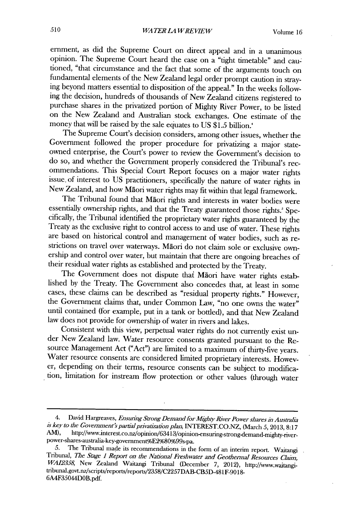ernment, as **did** the Supreme Court on direct appeal and in a unanimous opinion. The Supreme Court heard the case on a "tight timetable" and cautioned, "that circumstance and the fact that some of the arguments touch on fundamental elements of the New Zealand legal order prompt caution in straying beyond matters essential to disposition of the appeal." In the weeks following the decision, hundreds of thousands of New Zealand citizens registered to purchase shares in the privatized portion of Mighty River Power, to be listed on the New Zealand and Australian stock exchanges. One estimate of the money that will be raised **by** the sale equates to **US** *\$1.5* billion.'

The Supreme Court's decision considers, among other issues, whether the Government followed the proper procedure for privatizing a major stateowned enterprise, the Court's power to review the Government's decision to do so, and whether the Government properly considered the Tribunal's recissue of interest to US practitioners, specifically the nature of water rights in New Zealand, and how Māori water rights may fit within that legal framework.

The Tribunal found that Maori rights and interests in water bodies were essentially ownership rights, and that the Treaty guaranteed those rights.' Specifically, the Tribunal identified the proprietary water rights guaranteed by the Treaty as the exclusive right to control access to and use of water. These rights are based on historical control and management of water bodies, such as restrictions on travel over waterways. Māori do not claim sole or exclusive ownership and control over water, but maintain that there are ongoing breaches of their residual water rights as established and protected **by** the Treaty.

The Government does not dispute that Maori have water rights established **by** the Treaty. The Government also concedes that, at least in some cases, these claims can be described as "residual property rights." However, the Government claims that, under Common Law, "no one owns the water" until contained (for example, put in a tank or bottled), and that New Zealand law does not provide for ownership of water in rivers and lakes.

Consistent with this view, perpetual water rights do not currently exist under New Zealand law. Water resource consents granted pursuant to the Resource Management Act ("Act") are limited to a maximum of thirty-five years. Water resource consents are considered limited proprietary interests. However, depending on their terms, resource consents can be subject to modification, limitation for instream flow protection or other values (through water

<sup>4.</sup> David Hargreaves, *Ensuring Strong Demand for Mighty River Power shares in Australia is key to the Government's partial privatization plan,* **INTEREST.CO.NZ,** (March **5, 2013, 8:17** AM), http://www.interest.co.nz/opinion/63413/opinion-ensuring-strong-demand-mighty-river power-shares-australia-key-government%E2%80%99s-pa.

<sup>5.</sup> The Tribunal made its recommendations in the form of an interim report. Waitangi<br>Tribunal, The Stage 1 Report on the National Freshwater and Geothermal Resources Claim,<br>WAI2358, New Zealand Waitangi Tribunal (December 7 **6A4F35044DOB.pdf.**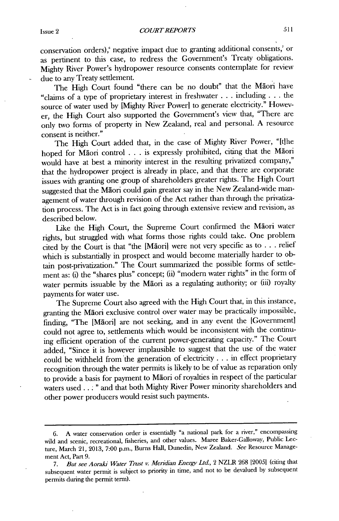conservation orders),' negative impact due to granting additional consents,' or as pertinent to this case, to redress the Government's Treaty obligations. Mighty River Power's hydropower resource consents contemplate for review due to any Treaty settlement.

The High Court found "there can be no doubt" that the Maori have "claims of a type of proprietary interest in freshwater **. . .** including **. . .** the source of water used **by** [Mighty River Power] to generate electricity." However, the **High** Court also supported the Government's view that, "There are only two forms of property in New Zealand, real and personal. **A** resource consent is neither."

The High Court added that, in the case of Mighty River Power, "Ithe hoped for Maori control **. . .** is expressly prohibited, citing that the Maori would have at best a minority interest in the resulting privatized company," that the hydropower project is already in place, and that there are corporate issues with granting one group of shareholders greater rights. The **High** Court suggested that the Māori could gain greater say in the New Zealand-wide management of water through revision of the Act rather than through the privatization process. The Act is in fact going through extensive review and revision, as described below.

Like the High Court, the Supreme Court confirmed the Maori water rights, but struggled with what forms those rights could take. One problem cited **by** the Court is that "the [Mdoril were not very specific as to **. ..** relief which is substantially in prospect and would become materially harder to obtain post-privatization." The Court summarized the possible forms of settlement as: **(i)** the "shares plus" concept; (ii) "modern water rights" in the form of water permits issuable **by** the Maori as a regulating authority; or (iii) royalty payments for water use.

The Supreme Court also agreed with the High Court that, in this instance, granting the Maori exclusive control over water may be practically impossible, finding, "The [Māori] are not seeking, and in any event the [Government] could not agree to, settlements which would be inconsistent with the continuing efficient operation of the current power-generating capacity." The Court added, "Since it is however implausible to suggest that the use of the water could be withheld from the generation of electricity **. ..** in effect proprietary recognition through the water permits is likely to be of value as reparation only to provide a basis for payment to Maori of royalties in respect of the particular waters used **..** . **"** and that both Mighty River Power minority shareholders and other power producers would resist such payments.

**<sup>6.</sup> A** water conservation order is essentially "a national park for a river," encompassing wild and scenic, recreational, fisheries, and other values. Maree Baker-Galloway, Public Lecture, March 21, **2013, 7:00** p.m., Bums Hall, Dunedin, New Zealand. *See* Resource Management Act, Part **9.**

*<sup>7.</sup>* But *see Aoraki Water Trust v. Meridian Energy Ltd.,* 2 NZLR **268** 120051 (citing that subsequent water permit is subject to priority in time, and not to be devalued **by** subsequent permits during the permit term).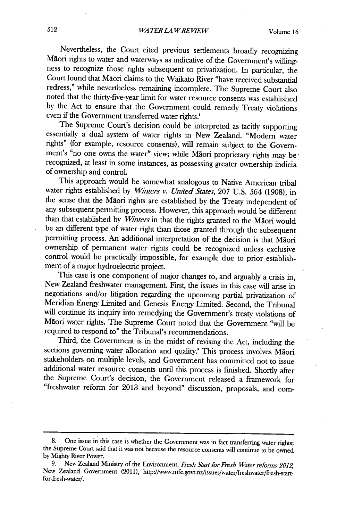Nevertheless, the Court cited previous settlements broadly recognizing Maori rights to water and waterways as indicative of the Government's willingness to recognize those rights subsequent to privatization. In particular, the Court found that Maori claims to the Waikato River "have received substantial redress," while nevertheless remaining incomplete. The Supreme Court also noted that the thirty-five-year limit for water resource consents was established **by** the Act to ensure that the Government could remedy Treaty violations even if the Government transferred water rights.<sup>"</sup><br>The Supreme Court's decision could be interpreted as tacitly supporting

essentially a dual system of water rights in New Zealand. "Modern water rights" (for example, resource consents), will remain subject to the Government's "no one owns the water" view; while Maori proprietary rights may be recognized, at least in some instances, as possessing greater ownership indicia of ownership and control.

This approach would be somewhat analogous to Native American tribal water rights established **by** *Whiters v. United States,* **207 U.S.** *564* **(1908),** in the sense that the Maori rights are established **by** the Treaty independent of any subsequent permitting process. However, this approach would be different than that established **by** *Winters* in that the rights granted to the Maori would be an different type of water right than those granted through the subsequent permitting process. An additional interpretation of the decision is that Maori ownership of permanent water rights could be recognized unless exclusive control would be practically impossible, for example due to prior establishment of a major hydroelectric project.

This case is one component of major changes to, and arguably a crisis in, New Zealand freshwater management. First, the issues in this case will arise in negotiations and/or litigation regarding the upcoming partial privatization of Meridian Energy Limited and Genesis Energy Limited. Second, the Tribunal will continue its inquiry into remedying the Government's treaty violations of Maori water rights. The Supreme Court noted that the Government "will be required to respond to" the Tribunal's recommendations.

Third, the Government is in the midst of revising the Act, including the sections governing water allocation and quality.' This process involves Maori stakeholders on multiple levels, and Government has committed not to issue additional water resource consents until this process is finished. Shortly after the Supreme Court's decision, the Government released a framework for "freshwater reform for **2013** and beyond" discussion, proposals, and com-

**<sup>8.</sup>** One issue in this case is whether the Government was in fact transferring water rights; the Supreme Court said that it was not because the resource consents will continue to be owned **by** Mighty River Power.

**<sup>9.</sup>** New Zealand Ministry of the Environment, *Fresh Start for Fresh Water reforms 2012,* New Zealand Government **(2011),** http://www.mfe.govt.nz/issues/water/freshwater/fresh-startfor-fresh-water/.